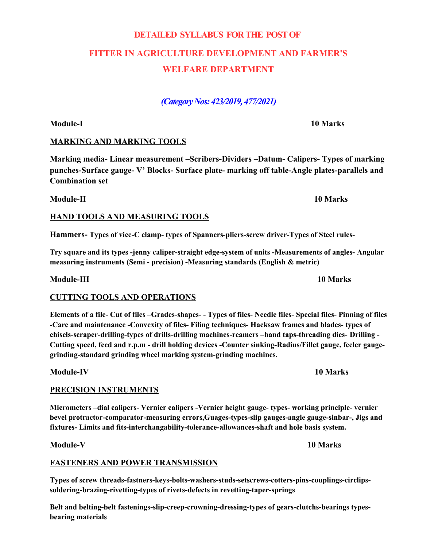# **DETAILED SYLLABUS FOR THE POST OF FITTER IN AGRICULTURE DEVELOPMENT AND FARMER'S WELFARE DEPARTMENT**

*(Category Nos: 423/2019, 477/2021)*

## **MARKING AND MARKING TOOLS**

**Marking media- Linear measurement –Scribers-Dividers –Datum- Calipers- Types of marking punches-Surface gauge- V' Blocks- Surface plate- marking off table-Angle plates-parallels and Combination set**

#### **HAND TOOLS AND MEASURING TOOLS**

**Hammers- Types of vice-C clamp- types of Spanners-pliers-screw driver-Types of Steel rules-**

**Try square and its types -jenny caliper-straight edge-system of units -Measurements of angles- Angular measuring instruments (Semi - precision) -Measuring standards (English & metric)**

**Module-III 10 Marks**

#### **CUTTING TOOLS AND OPERATIONS**

**Elements of a file- Cut of files –Grades-shapes- - Types of files- Needle files- Special files- Pinning of files -Care and maintenance -Convexity of files- Filing techniques- Hacksaw frames and blades- types of chisels-scraper-drilling-types of drills-drilling machines-reamers –hand taps-threading dies- Drilling - Cutting speed, feed and r.p.m - drill holding devices -Counter sinking-Radius/Fillet gauge, feeler gaugegrinding-standard grinding wheel marking system-grinding machines.**

**Module-IV 10 Marks**

## **PRECISION INSTRUMENTS**

**Micrometers –dial calipers- Vernier calipers -Vernier height gauge- types- working principle- vernier bevel protractor-comparator-measuring errors,Guages-types-slip gauges-angle gauge-sinbar-, Jigs and fixtures- Limits and fits-interchangability-tolerance-allowances-shaft and hole basis system.**

**Module-V 10 Marks**

#### **FASTENERS AND POWER TRANSMISSION**

**Types of screw threads-fastners-keys-bolts-washers-studs-setscrews-cotters-pins-couplings-circlipssoldering-brazing-rivetting-types of rivets-defects in revetting-taper-springs**

**Belt and belting-belt fastenings-slip-creep-crowning-dressing-types of gears-clutchs-bearings typesbearing materials**

## **Module-I 10 Marks**

**Module-II 10 Marks**